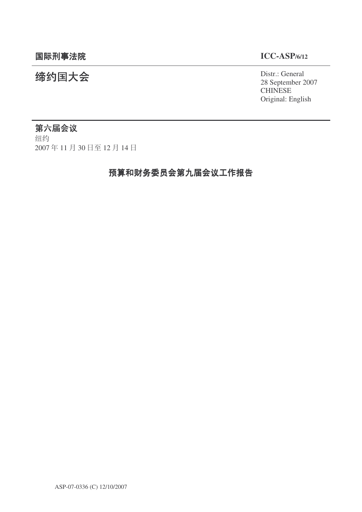统约国大会 Distr.: General 28 September 2007 **CHINESE** Original: English

# 第六届会议

细约 2007年11月30日至12月14日

# 预算和财务委员会第九届会议工作报告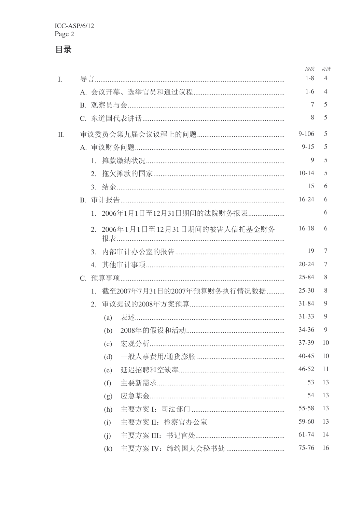|     |                                             | 段次        | 页次             |
|-----|---------------------------------------------|-----------|----------------|
| L.  |                                             | $1 - 8$   | $\overline{4}$ |
|     |                                             | $1-6$     | $\overline{4}$ |
|     |                                             | 7         | 5              |
|     |                                             | 8         | 5              |
| II. |                                             | $9 - 106$ | 5              |
|     |                                             | $9 - 15$  | 5              |
|     | $1_{-}$                                     | 9         | 5              |
|     | 2.                                          | $10-14$   | 5              |
|     |                                             | 15        | 6              |
|     |                                             | $16 - 24$ | 6              |
|     | 1. 2006年1月1日至12月31日期间的法院财务报表                |           | 6              |
|     | 2. 2006年1月1日至12月31日期间的被害人信托基金财务             | $16 - 18$ | 6              |
|     |                                             | 19        | 7              |
|     |                                             | $20 - 24$ | 7              |
|     |                                             | 25-84     | 8              |
|     | 截至2007年7月31日的2007年预算财务执行情况数据<br>$1_{\cdot}$ | $25 - 30$ | 8              |
|     | 2.                                          | $31 - 84$ | 9              |
|     | 表述……………………………………………………………………<br>(a)         | $31 - 33$ | 9              |
|     | (b)                                         | $34 - 36$ | 9              |
|     | (c)                                         | 37-39     | 10             |
|     | (d)                                         | $40 - 45$ | 10             |
|     | (e)                                         | $46 - 52$ | 11             |
|     | (f)                                         | 53        | 13             |
|     | (g)                                         | 54        | 13             |
|     | (h)                                         | $55 - 58$ | 13             |
|     | 主要方案 II: 检察官办公室<br>(i)                      | 59-60     | 13             |
|     | (i)                                         | 61-74     | 14             |
|     | 主要方案 IV: 缔约国大会秘书处<br>(k)                    | $75 - 76$ | 16             |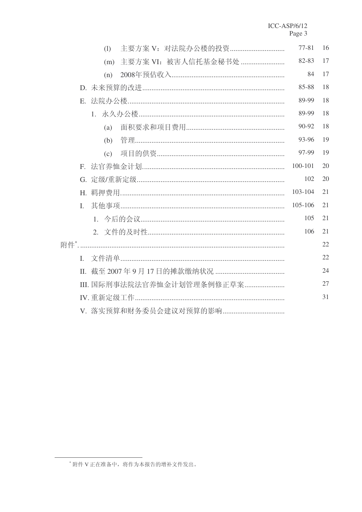|             | (1) | 主要方案 V: 对法院办公楼的投资        | $77 - 81$ | 16 |
|-------------|-----|--------------------------|-----------|----|
|             | (m) | 主要方案 VI: 被害人信托基金秘书处      | 82-83     | 17 |
|             | (n) |                          | 84        | 17 |
|             |     |                          | 85-88     | 18 |
|             |     |                          | 89-99     | 18 |
|             |     |                          | 89-99     | 18 |
|             | (a) |                          | 90-92     | 18 |
|             |     |                          | 93-96     | 19 |
|             |     |                          | 97-99     | 19 |
| $F_{\cdot}$ |     |                          | 100-101   | 20 |
|             |     |                          | 102       | 20 |
|             |     |                          | 103-104   | 21 |
| L.          |     |                          | 105-106   | 21 |
|             |     |                          | 105       | 21 |
|             |     |                          | 106       | 21 |
|             |     |                          |           | 22 |
|             |     |                          |           | 22 |
|             |     |                          |           | 24 |
|             |     | Ⅲ. 国际刑事法院法官养恤金计划管理条例修正草案 |           | 27 |
|             |     |                          |           | 31 |
|             |     |                          |           |    |

<sup>\*</sup>附件 V 正在准备中, 将作为本报告的增补文件发出。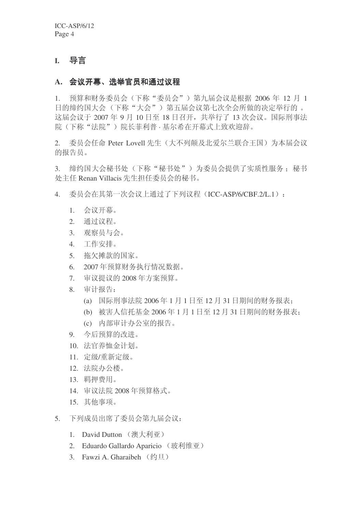# **I.** 导言

## A. 会议开幕、选举官员和通过议程

1. 预算和财务委员会(下称"委员会")第九届会议是根据 2006 年 12 月 1 日的缔约国大会(下称"大会")第五届会议第七次全会所做的决定举行的。 这届会议于 2007 年 9 月 10 日至 18 日召开, 共举行了 13 次会议。国际刑事法 院(下称"法院")院长菲利普·基尔希在开幕式上致欢迎辞。

2. 委员会任命 Peter Lovell 先生(大不列颠及北爱尔兰联合王国)为本届会议 的报告员。

3. 缔约国大会秘书处(下称"秘书处")为委员会提供了实质性服务; 秘书 处主任 Renan Villacis 先生担任委员会的秘书。

4. 委员会在其第一次会议上通过了下列议程(ICC-ASP/6/CBF.2/L.1):

- 1. 会议开幕。
- 2. 通过议程。
- 3. 观察员与会。
- 4. 工作安排。
- 5. 拖欠摊款的国家。
- 6. 2007年预算财务执行情况数据。
- 7. 审议提议的 2008 年方案预算。
- 8. 审计报告:
	- (a) 国际刑事法院 2006年1月1日至12月31日期间的财务报表:
	- (b) 被害人信托基金 2006年1月1日至12月31日期间的财务报表:
	- (c) 内部审计办公室的报告。
- 9. 今后预算的改讲。
- 10. 法官养恤金计划。
- 11. 定级/重新定级。
- 12. 法院办公楼。
- 13. 羁押费用。
- 14. 审议法院 2008 年预算格式。
- 15. 其他事项。
- 5. 下列成员出席了委员会第九届会议:
	- 1. David Dutton (澳大利亚)
	- 2. Eduardo Gallardo Aparicio (玻利维亚)
	- 3. Fawzi A. Gharaibeh  $(\frac{\psi}{\Box} \boxdot)$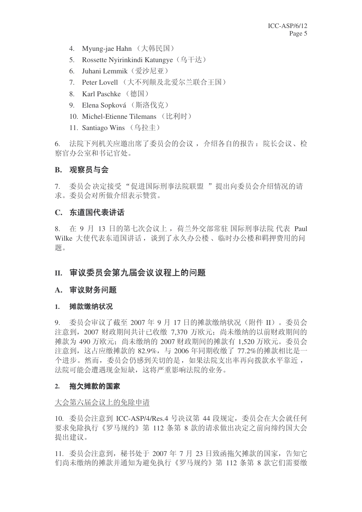- 4. Myung-jae Hahn (大韩民国)
- 5. Rossette Nyirinkindi Katungye (乌干达)
- 6. Juhani Lemmik (爱沙尼亚)
- 7. Peter Lovell (大不列颠及北爱尔兰联合王国)
- 8. Karl Paschke (德国)
- 9. Elena Sopková (斯洛伐克)
- 10. Michel-Etienne Tilemans (比利时)
- 11. Santiago Wins (乌拉圭)

6. 法院下列机关应邀出席了委员会的会议, 介绍各自的报告: 院长会议、检 察官办公室和书记官处。

## **B.** 观察员与会

7. 委员会决定接受"促进国际刑事法院联盟"提出向委员会介绍情况的请 求。委员会对所做介绍表示赞赏。

## C. 东道国代表讲话

8. 在 9 月 13 日的第七次会议上, 荷兰外交部常驻 国际刑事法院 代表 Paul Wilke 大使代表东道国讲话, 谈到了永久办公楼、临时办公楼和羁押费用的问 题。

## II. 审议委员会第九届会议议程上的问题

## A. 审议财务问题

#### 1. 摊款缴纳状况

 $9.$  委员会审议了截至 2007 年 9 月 17 日的摊款缴纳状况(附件 II)。委员会 注意到, 2007 财政期间共计已收缴 7.370 万欧元; 尚未缴纳的以前财政期间的 摊款为 490 万欧元; 尚未缴纳的 2007 财政期间的摊款有 1,520 万欧元。委员会 注意到, 这占应缴摊款的 82.9%, 与 2006 年同期收缴了 77.2%的摊款相比是一 个进步。然而, 委员会仍感到关切的是, 如果法院支出率再向拨款水平靠近, 法院可能会遭遇现金短缺,这将严重影响法院的业务。

#### 2. 拖欠摊款的国家

#### 大会第六届会议上的免除申请

10. 委员会注意到 ICC-ASP/4/Res.4 号决议第 44 段规定, 委员会在大会就任何 要求免除执行《罗马规约》第 112 条第 8 款的请求做出决定之前向缔约国大会 提出建议。

11. 委员会注意到, 秘书处于 2007 年 7 月 23 日致函拖欠摊款的国家, 告知它 们尚未缴纳的摊款并通知为避免执行《罗马规约》第 112 条第 8 款它们需要缴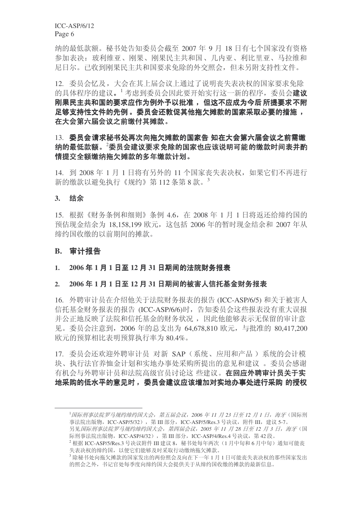纳的最低款额。秘书处告知委员会截至 2007 年 9 月 18 日有七个国家没有资格 参加表决: 玻利维亚、刚果、刚果民主共和国、几内亚、利比里亚、马拉维和 尼日尔。已收到刚果民主共和国要求免除的外交照会,但未另附支持性文件。

12. 委员会忆及, 大会在其上届会议上通过了说明丧失表决权的国家要求免除 的具体程序的建议。<sup>1</sup> 考虑到委员会因此要开始实行这一新的程序, 委员会建议 刚果民主共和国的要求应作为例外予以批准, 但这不应成为今后 所提要求不附 足够支持性文件的先例。委员会还敦促其他拖欠摊款的国家采取必要的措施, 在大会第六届会议之前缴付其摊款。

## 13. 委员会请求秘书处再次向拖欠摊款的国家告 知在大会第六届会议之前需缴 纳的最低款额。<sup>2</sup>委员会建议要求免除的国家也应该说明可能的缴款时间表并酌 情提交全额缴纳拖欠摊款的多年缴款计划。

14. 到 2008年1月1日将有另外的 11 个国家丧失表决权, 如果它们不再讲行 新的缴款以避免执行《规约》第112条第8款。

## 3. 结余

15. 根据《财务条例和细则》条例 4.6, 在 2008 年 1 月 1 日将返还给缔约国的 预估现金结余为 18,158,199 欧元, 这包括 2006 年的暂时现金结余和 2007 年从 缔约国收缴的以前期间的摊款。

### **B.** 审计报告

#### 1. 2006年1月1日至12月31日期间的法院财务报表

## 2. 2006年1月1日至12月31日期间的被害人信托基金财务报表

16. 外聘审计员在介绍他关于法院财务报表的报告 (ICC-ASP/6/5) 和关于被害人 信托基金财务报表的报告 (ICC-ASP/6/6)时, 告知委员会这些报表没有重大误报 并公正地反映了法院和信托基金的财务状况,因此他能够表示无保留的审计意 见。委员会注意到, 2006 年的总支出为 64,678,810 欧元, 与批准的 80,417,200 欧元的预算相比表明预算执行率为 80.4%。

17. 委员会还欢迎外聘审计员 对新 SAP (系统、应用和产品) 系统的会计模 块、执行法官养恤金计划和实地办事处采购所提出的意见和建议。 委员会感谢 有机会与外聘审计员和法院高级官员讨论这 些建议。 **在回应外聘审计员关于实** 地采购的低水平的意见时, 委员会建议应该增加对实地办事处进行采购 的授权

<sup>&</sup>lt;sup>1</sup>国际刑事法院罗马规约缔约国大会, 第五届会议, 2006 年 11 月 23 日至 12 月 1 日, 海牙 (国际刑 事法院出版物, ICC-ASP/5/32), 第 III 部分, ICC-ASP/5/Res.3 号决议, 附件 III, 建议 5-7。

另见国际刑事法院罗马规约缔约国大会,第四届会议,2005年 11月 28日至 12月 3日,海牙(国 际刑事法院出版物, ICC-ASP/4/32), 第 III 部分, ICC-ASP/4/Res.4 号决议, 第 42 段。

 $^2$  根据 ICC-ASP/5/Res.3 号决议附件 III 建议 8, 秘书处每年两次 (1月中旬和6月中旬) 通知可能丧 失表决权的缔约国,以便它们能够及时采取行动缴纳拖欠摊款。

 $^3$ 除秘书处向拖欠摊款的国家发出的两份照会及向在下一年1月1日可能丧失表决权的那些国家发出 的照会之外,书记官处每季度向缔约国大会提供关于从缔约国收缴的摊款的最新信息。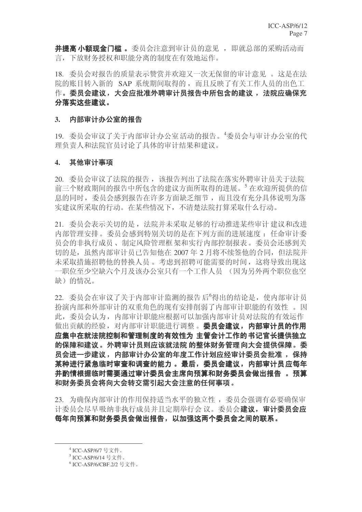并提高小额现金门槛。委员会注意到审计员的意见, 即就总部的采购活动而 言,下放财务授权和职能分离的制度在有效地运作。

18. 委员会对报告的质量表示赞赏并欢迎又一次无保留的审计意见。这是在法 院的账目转入新的 SAP 系统期间取得的,而且反映了有关工作人员的出色工 作。委员会建议,大会应批准外聘审计员报告中所包含的建议,法院应确保充 分落实这些建议。

#### 3. 内部审计办公室的报告

19. 委员会审议了关于内部审计办公室活动的报告。"委员会与审计办公室的代 理负责人和法院官员讨论了具体的审计结果和建议。

#### 4. 其他审计事项

20. 委员会审议了法院的报告, 该报告列出了法院在落实外聘审计员关于法院 前三个财政期间的报告中所包含的建议方面所取得的进展。<sup>5</sup>在欢迎所提供的信 息的同时, 委员会感到报告在许多方面缺乏细节, 而且没有充分具体说明为落 实建议所采取的行动。在某些情况下,不清楚法院打算采取什么行动。

21. 委员会表示关切的是, 法院并未采取足够的行动推进某些审计 建议和改进 内部管理安排。委员会感到特别关切的是在下列方面的讲展速度: 任命审计委 员会的非执行成员、制定风险管理框架和实行内部控制报表。委员会还感到关 切的是, 虽然内部审计员已告知他在 2007 年 2 月将不续签他的合同, 但法院并 未采取措施招聘他的替换人员。考虑到招聘可能需要的时间,这将导致出现这 一职位至少空缺六个月及该办公室只有一个工作人员 (因为另外两个职位也空 缺)的情况。

22. 委员会在审议了关于内部审计监测的报告后<sup>6</sup>得出的结论是, 使内部审计员 扮演内部和外部审计的双重角色的现有安排削弱了内部审计职能的有效性。因 此, 委员会认为, 内部审计职能应根据可以加强内部审计员对法院的有效运作 做出贡献的经验, 对内部审计职能进行调整。委员会建议, 内部审计员的作用 应集中在就法院控制和管理制度的有效性为 主管会计工作的书记官长提供独立 的保障和建议。外聘审计员则应该就法院 的整体财务管理向大会提供保障。委 员会进一步建议,内部审计办公室的年度工作计划应经审计委员会批准, 保持 某种进行紧急临时审查和调查的能力。 最后, 委员会建议, 内部审计员应每年 并酌情根据临时需要通过审计委员会主席向预算和财务委员会做出报告 。 预算 和财务委员会将向大会转交需引起大会注意的任何事项。

23. 为确保内部审计的作用保持适当水平的独立性, 委员会强调有必要确保审 计委员会尽早吸纳非执行成员并且定期举行会议。委员会建议,审计委员会应 每年向预算和财务委员会做出报告,以加强这两个委员会之间的联系。

<sup>&</sup>lt;sup>4</sup> ICC-ASP/6/7 号文件。

<sup>5</sup> ICC-ASP/6/14 号文件。

<sup>6</sup> ICC-ASP/6/CBF.2/2 号文件。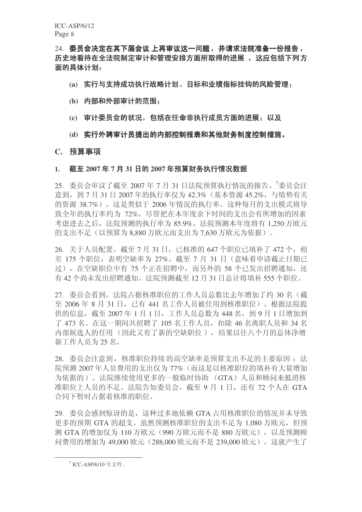24. 委员会决定在其下届会议 上再审议这一问题, 并请求法院准备一份报告, 历史地看待在全法院制定审计和管理安排方面所取得的进展 。这应包括下列方 面的具体计划:

- (a) 实行与支持成功执行战略计划、目标和业绩指标挂钩的风险管理:
- (b) 内部和外部审计的范围;
- (c) 审计委员会的状况, 包括在任命非执行成员方面的进展: 以及
- (d) 实行外聘审计员提出的内部控制报表和其他财务制度控制措施。

#### **C.** 预算事项

### 1. 截至 2007 年 7 月 31 日的 2007 年预算财务执行情况数据

25. 委员会审议了截至 2007年7月 31日法院预算执行情况的报告。7委员会注 意到, 到 7 月 31 日 2007 年的执行率仅为 42.3% (基本资源 45.2%, 与情势有关 的资源 38.7%)。这是类似于 2006 年情况的执行率。这种每月的支出模式将导 致全年的执行率约为 72%, 尽管把在本年度余下时间的支出会有所增加的因素  $\frac{1}{2}$  宗洪夫之后, 法院预测的执行率为 85.9%。法院预测本年度将有 1.250 万欧元 的支出不足(以预算为 8.880 万欧元而支出为 7.630 万欧元为依据)。

26. 关于人员配置, 截至 7 月 31 日, 已核准的 647 个职位已填补了 472 个, 相 差 175 个职位, 表明空缺率为 27%。截至 7 月 31 日 (意味着申请截止日期已 过), 在空缺职位中有75个正在招聘中, 而另外的58个已发出招聘通知, 还 有42个尚未发出招聘通知。法院预测截至12月31日总计将填补555个职位。

27. 委员会看到, 法院占据核准职位的工作人员总数比去年增加了约 30 名(截 至 2006年 8 月 31 日, 已有 441 名工作人员被任用到核准职位)。根据法院提 供的信息, 截至 2007年1月1日, 工作人员总数为 448 名, 到 9 月 1 日增加到 了 473 名。在这一期间共招聘了 105 名工作人员, 扣除 46 名离职人员和 34 名 内部候选人的任用(因此又有了新的空缺职位), 结果以往八个月的总体净增 新工作人员为 25 名。

28. 委员会注意到, 核准职位持续的高空缺率是预算支出不足的主要原因: 法 院预测 2007年人员费用的支出仅为77%(而这是以核准职位的填补有大量增加 为依据的)。法院继续使用更多的一般临时协助 (GTA) 人员和顾问来抵消核 准职位上人员的不足。法院告知委员会,截至 9 月 1 日, 还有 72 个人在 GTA 合同下暂时占据着核准的职位。

29. 委员会感到惊讶的是, 这种过多地依赖 GTA 占用核准职位的情况并未导致 更多的预期 GTA 的超支。虽然预测核准职位的支出不足为 1,080 万欧元, 但预 测 GTA 的增加仅为 110 万欧元 (990 万欧元而不是 880 万欧元), 以及预测顾 问费用的增加为 49,000 欧元 (288,000 欧元而不是 239,000 欧元)。这就产生了

 $^7$ ICC-ASP/6/10 号文件。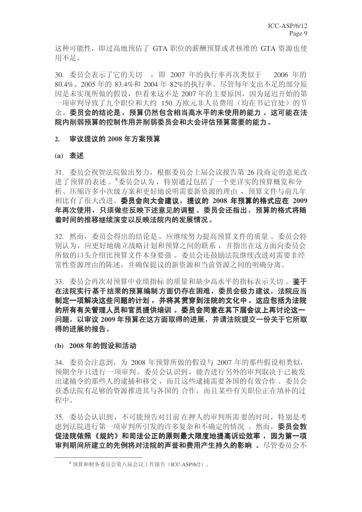这种可能性, 即过高地预估了 GTA 职位的薪酬预算或者核准的 GTA 资源也使 用不足。

30. 委员会表示了它的关切, 即 2007 年的执行率再次类似于 2006 年的 80.4%、2005 年的 83.4%和 2004 年 82%的执行率。尽管每年支出不足的部分原 因是未实现所做的假设, 但看来这不是 2007 年的主要原因, 因为延迟开始的第 一项审判导致了九个职位和大约 150 万欧元非人员费用(均在书记官处) 的节 余。委员会的结论是,预算仍然包含相当高水平的未使用的能力。这可能在法 院内削弱预算的控制作用并削弱委员会和大会评估预算需要的能力。

#### 2. 审议提议的 2008 年方案预算

#### (a) 表述

31. 委员会祝贺法院做出努力, 根据委员会上届会议报告第 26 段商定的意见改 进了预算的表述。<sup>8</sup>委员会认为,特别通过包括了一个更详实的预算概览和分 析、压缩许多小次级方案和更好地说明需要新资源的理由, 预算文件与前几年 相比有了很大改进。委员会向大会建议,提议的 2008 年预算的格式应在 2009 年再次使用,只须做些反映下述意见的调整 。委员会还指出, 预算的格式将随 着时间的推移继续演变以反映法院内的发展情况。

32. 然而, 委员会得出的结论是, 应继续努力提高预算文件的质量。委员会特 别认为, 应更好地确立战略计划和预算之间的联系, 并指出在这方面向委员会 所做的口头介绍比预算文件本身要强。委员会还鼓励法院继续改进对需要非经 常性资源理由的陈述,并确保提议的新资源和当前资源之间的明确分离。

33. 委员会再次对预算中业绩指标 的质量和缺少高水平的指标表示关切。 鉴于 在法院实行基于结果的预算编制方面仍存在困难,委员会极力建议,法院应当 制定一项解决这些问题的计划, 并将其贯穿到法院的文化中。这应包括为法院 的所有有关管理人员和官员提供培训。委员会同意在其下届会议上再讨论这一 问题,以审议 2009 年预算在这方面取得的进展,并请法院提交一份关于它所取 得的进展的报告。

(b) 2008年的假设和活动

34. 委员会注意到, 为 2008 年预算所做的假设与 2007 年的那些假设相类似, 预期全年只进行一项审判。委员会认识到, 能否进行另外的审判取决于已被发 出逮捕令的那些人的逮捕和移交,而且这些逮捕需要各国的有效合作。委员会 获悉法院有足够的资源推进其与各国的合作,而且某些有关职位正在填补的过 程中。

35. 委员会认识到, 不可能预告对目前在押人的审判所需要的时间, 特别是考 虑到法院进行第一项审判所引发的许多复杂和不确定的情况。然而, 委员会敦 促法院依照《规约》和司法公正的原则最大限度地提高诉讼效率, 因为第一项 审判期间所建立的先例将对法院的声誉和费用产生持久的影响。尽管委员会不

 $8 \frac{1}{2}$  预算和财务委员会第八届会议工作报告 (ICC-ASP/6/2)。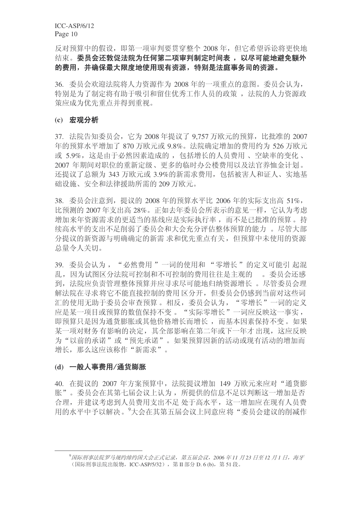反对预算中的假设, 即第一项审判要贯穿整个 2008 年, 但它希望诉讼将更快地 结束。委员会还敦促法院为任何第二项审判制定时间表,以尽可能地避免额外 的费用,并确保最大限度地使用现有资源,特别是法庭事务司的资源。

36. 委员会欢迎法院将人力资源作为 2008 年的一项重点的意图。委员会认为, 特别是为了制定将有助于吸引和留住优秀工作人员的政策, 法院的人力资源政 策应成为优先重点并得到重视。

#### (c) 宏观分析

37. 法院告知委员会, 它为 2008 年提议了 9.757 万欧元的预算, 比批准的 2007 年的预算水平增加了870 万欧元或 9.8%。法院确定增加的费用约为 526 万欧元 或 5.9%, 这是由于必然因素造成的, 包括增长的人员费用、空缺率的变化、 2007 年期间对职位的重新定级、更多的临时办公楼费用以及法官养恤金计划。 还提议了总额为 343 万欧元或 3.9%的新需求费用, 包括被害人和证人、实地基 础设施、安全和法律援助所需的209 万欧元。

38. 委员会注意到, 提议的 2008 年的预算水平比 2006 年的实际支出高 51%, 比预测的 2007年支出高 28%。正如去年委员会所表示的意见一样, 它认为考虑 增加来年资源需求的更适当的基线应是实际执行率,而不是已批准的预算。持 续高水平的支出不足削弱了委员会和大会充分评估整体预算的能力。尽管大部 分提议的新资源与明确确定的新需求和优先重点有关,但预算中未使用的资源 总量令人关切。

39. 委员会认为, "必然费用"一词的使用和 "零增长"的定义可能引起混 乱,因为试图区分法院可控制和不可控制的费用往往是主观的。。委员会还感 到, 法院应负责管理整体预算并应寻求尽可能地归纳资源增长。尽管委员会理 解法院在寻求将它不能直接控制的费用区分开,但委员会仍感到当前对这些词 汇的使用无助于委员会审查预算。相反,委员会认为,"零增长"一词的定义 应是某一项目或预算的数值保持不变。"实际零增长"一词应反映这一事实, 即预算只是因为通货膨胀或其他价格增长而增长,而基本因素保持不变。如果 某一项对财务有影响的决定, 其全部影响在第二年或下一年才出现, 这应反映 为"以前的承诺"或"预先承诺"。如果预算因新的活动或现有活动的增加而 增长, 那么这应该称作"新需求"。

## (d) 一般人事费用/通货膨胀

40. 在提议的 2007 年方案预算中, 法院提议增加 149 万欧元来应对"通货膨 胀"。委员会在其第七届会议上认为, 所提供的信息不足以判断这一增加是否 合理,并建议考虑到人员费用支出不足处于高水平,这一增加应在现有人员费 用的水平中予以解决。七会在其第五届会议上同意应将"委员会建议的削减作

<sup>9</sup> 国际刑事法院罗马规约缔约国大会正式记录, 第五届会议, 2006 年11 月23 日至12 月1 日, 海牙 (国际刑事法院出版物, ICC-ASP/5/32), 第Ⅱ部分 D. 6 (b), 第 51 段。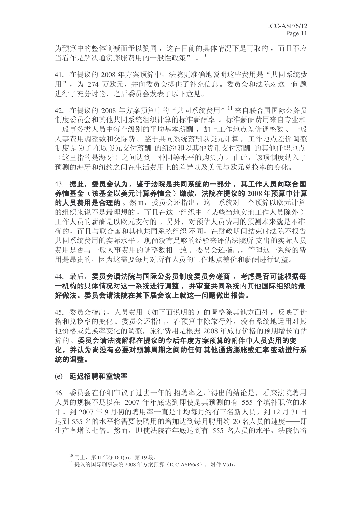为预算中的整体削减而予以赞同, 这在目前的具体情况下是可取的, 而且不应 当看作是解决通货膨胀费用的一般性政策"。10

41. 在提议的 2008 年方案预算中, 法院更准确地说明这些费用是"共同系统费 用",为 274 万欧元,并向委员会提供了补充信息。委员会和法院对这一问题 进行了充分讨论, 之后委员会发表了以下意见。

42. 在提议的 2008 年方案预算中的"共同系统费用"<sup>11</sup> 来自联合国国际公务员 制度委员会和其他共同系统组织计算的标准薪酬率。标准薪酬费用来自专业和 一般事务类人员中每个级别的平均基本薪酬, 加上工作地点差价调整数、一般 人事费用调整数和交际费。鉴于共同系统薪酬以美元计算,工作地点差价调整 制度是为了在以美元支付薪酬 的纽约和以其他货币支付薪酬 的其他任职地点 (这里指的是海牙)之间达到一种同等水平的购买力。由此,该项制度纳入了 预测的海牙和纽约之间在生活费用上的差异以及美元与欧元兑换率的变化。

43. 据此,委员会认为,鉴于法院是共同系统的一部分,其工作人员向联合国 养恤基金(该基金以美元计算养恤金)缴款,法院在提议的 2008 年预算中计算 的人员费用是合理的。然而, 委员会还指出, 这一系统对一个预算以欧元计算 的组织来说不是最理想的,而且在这一组织中(某些当地实地工作人员除外) 工作人员的薪酬是以欧元支付的。另外, 对预估人员费用的预测本来就是不准 确的,而且与联合国和其他共同系统组织不同,在财政期间结束时法院不报告 共同系统费用的实际水平。 现尚没有足够的经验来评估法院所 支出的实际人员 费用是否与一般人事费用的调整数相一致。委员会还指出, 管理这一系统的费 用是昂贵的,因为这需要每月对所有人员的工作地点差价和薪酬进行调整。

## 44. 最后,委员会请法院与国际公务员制度委员会磋商, 考虑是否可能根据每 一机构的具体情况对这一系统进行调整, 并审查共同系统内其他国际组织的最 好做法。委员会请法院在其下届会议上就这一问题做出报告。

45. 委员会指出, 人员费用(如下面说明的) 的调整除其他方面外, 反映了价 格和兑换率的变化。委员会还指出, 在预算中除旅行外, 没有系统地运用对其 他价格或兑换率变化的调整, 旅行费用是根据 2008 年旅行价格的预期增长而估 算的。委员会请法院解释在提议的今后年度方案预算的附件中人员费用的变 化,并认为尚没有必要对预算周期之间的任何其他通货膨胀或汇率变动进行系 统的调整。

#### (e) 延迟招聘和空缺率

46. 委员会在仔细审议了过去一年的招聘率之后得出的结论是,看来法院聘用 人员的规模不足以在 2007 年年底达到即使是其预测的有 555 个填补职位的水 平。到2007年9月初的聘用率一直是平均每月约有三名新人员。到12月31日 达到 555 名的水平将需要使聘用的增加达到每月聘用约 20 名人员的速度——即 生产率增长七倍。然而, 即使法院在年底达到有 555 名人员的水平, 法院仍将

 $^{10}$  同上, 第Ⅱ部分 D.1(b), 第19段。

 $11$  提议的国际刑事法院 2008年方案预算 (ICC-ASP/6/8), 附件 V(d)。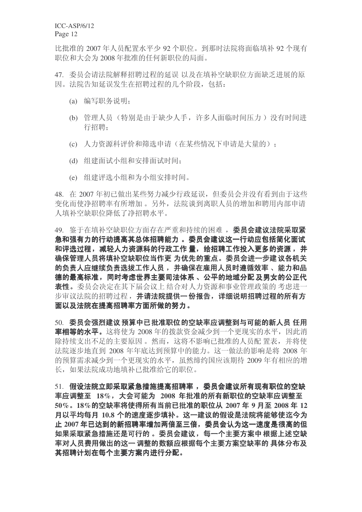比批准的 2007年人员配置水平少 92 个职位。到那时法院将面临填补 92 个现有 职位和大会为 2008 年批准的任何新职位的局面。

47. 委员会请法院解释招聘过程的延误 以及在填补空缺职位方面缺乏进展的原 因。法院告知延误发生在招聘过程的几个阶段, 包括:

- (a) 编写职务说明:
- (b) 管理人员(特别是由于缺少人手, 许多人面临时间压力) 没有时间进 行招聘;
- (c) 人力资源科评价和筛洗申请(在某些情况下申请是大量的):
- (d) 组建面试小组和安排面试时间:
- (e) 组建评选小组和为小组安排时间。

48. 在 2007 年初已做出某些努力减少行政延误, 但委员会并没有看到由于这些 变化而使净招聘率有所增加。另外, 法院谈到离职人员的增加和聘用内部申请 人填补空缺职位降低了净招聘水平。

49. 鉴于在填补空缺职位方面存在严重和持续的困难, 委员会建议法院采取紧 急和强有力的行动提高其总体招聘能力 。 委员会建议这一行动应包括简化面试 和评选过程,减轻人力资源科的行政工作 量,给招聘工作投入更多的资源,并 确保管理人员将填补空缺职位当作更 为优先的重点。委员会进一步建议各机关 的负责人应继续负责选拔工作人员, 并确保在雇用人员时遵循效率 、能力和品 德的最高标准,同时考虑世界主要司法体系、公平的地域分配 及男女的公正代 表性。委员会决定在其下届会议上 结合对人力资源和事业管理政策的 考虑进一 步审议法院的招聘过程,并请法院提供一份报告,详细说明招聘过程的所有方 面以及法院在提高招聘率方面所做的努力。

50. 委员会强烈建议 预算中已批准职位的空缺率应调整到与可能的新人员 任用 率相等的水平。这将使为 2008 年的拨款资金减少到一个更现实的水平, 因此消 除持续支出不足的主要原因。然而,这将不影响已批准的人员配置表,并将使 法院逐步地直到 2008 年年底达到预算中的能力。这一做法的影响是将 2008 年 的预算需求减少到一个更现实的水平,虽然缔约国应该期待 2009 年有相应的增 长, 如果法院成功地填补已批准给它的职位。

51. 假设法院立即采取紧急措施提高招聘率, 委员会建议所有现有职位的空缺 **率应调整至 18%,大会可能为 2008 年批准的所有新职位的空缺率应调整至**  $50\%$ , 18%的空缺率将使得所有当前已批准的职位从 2007 年 9 月至 2008 年 12 月以平均每月 10.8 个的速度逐步填补。这一建议的假设是法院将能够使迄今为 止 2007 年已达到的新招聘率增加两倍至三倍,委员会认为这一速度是很高的但 如果采取紧急措施还是可行的。 委员会建议,每一个主要方案中 根据上述空缺 率对人员费用做出的这一调整的数额应根据每个主要方案空缺率的 具体分布及 其招聘计划在每个主要方案内进行分配。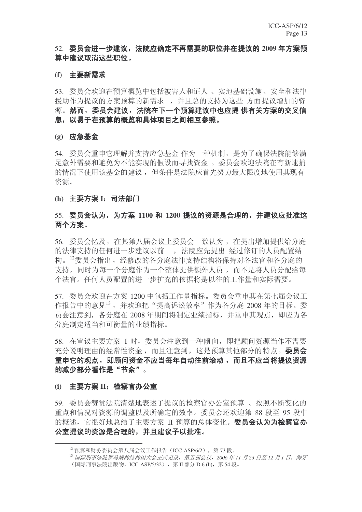## 52. 委员会进一步建议,法院应确定不再需要的职位并在提议的 2009 年方案预 算中建议取消这些职位。

#### (f) 主要新需求

53. 委员会欢迎在预算概览中包括被害人和证人、实地基础设施、安全和法律 援助作为提议的方案预算的新需求,并且总的支持为这些方面提议增加的资 源。然而,委员会建议,法院在下一个预算建议中也应提 供有关方案的交叉信 息,以易于在预算的概览和具体项目之间相互参照。

#### (g) 应急基金

54. 委员会重申它理解并支持应急基金作为一种机制, 是为了确保法院能够满 足意外需要和避免为不能实现的假设而寻找资金。委员会欢迎法院在有新逮捕 的情况下使用该基金的建议, 但条件是法院应首先努力最大限度地使用其现有 资源。

#### (h) 主要方案 I: 司法部门

## <u>55. 委员会认为,为方案 1100 和 1200 提议的资源是合理的,并建议应批准这</u> 两个方案。

56. 委员会忆及, 在其第八届会议上委员会一致认为, 在提出增加提供给分庭 的法律支持的任何进一步建议以前。, 法院应先提出 经过修订的人员配置结 构。12委员会指出, 经修改的各分庭法律支持结构将保持对各法官和各分庭的 支持,同时为每一个分庭作为一个整体提供额外人员,而不是将人员分配给每 个法官。任何人员配置的进一步扩充的依据将是以往的工作量和实际需要。

57. 委员会欢迎在方案 1200 中包括工作量指标。委员会重申其在第七届会议工 作报告中的意见13, 并欢迎把"提高诉讼效率"作为各分庭 2008 年的目标。委 员会注意到, 各分庭在 2008 年期间将制定业绩指标, 并重申其观点, 即应为各 分庭制定适当和可衡量的业绩指标。

58. 在审议主要方案 I 时, 委员会注意到一种倾向, 即把顾问资源当作不需要 充分说明理由的经常性资金, 而且注意到, 这是预算其他部分的特点。 委员会 重申它的观点, 即顾问资金不应当每年自动往前滚动, 而且不应当将提议资源 的减少部分看作是"节余"。

## (i) 主要方案 II: 检察官办公室

59. 委员会赞赏法院清楚地表述了提议的检察官办公室预算、按照不断变化的 重点和情况对资源的调整以及所确定的效率。委员会还欢迎第88 段至 95 段中 的概述,它很好地总结了主要方案 II 预算的总体变化。委员会认为为检察官办 公室提议的资源是合理的,并且建议予以批准。

 $12 \frac{12}{12}$  预算和财务委员会第八届会议工作报告 (ICC-ASP/6/2), 第73 段。

<sup>&</sup>lt;sup>13</sup> 国际刑事法院罗马规约缔约国大会正式记录,第五届会议,2006年11月23日至12月1日,海牙

<sup>(</sup>国际刑事法院出版物, ICC-ASP/5/32), 第Ⅱ部分 D.6 (b), 第 54 段。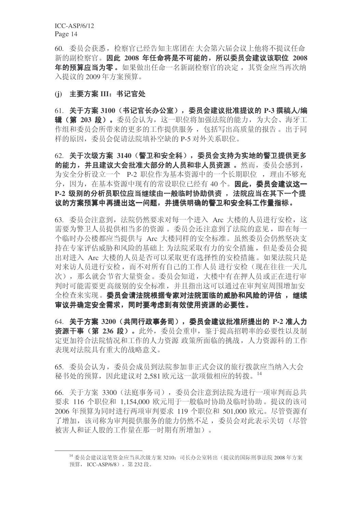60. 委员会获悉, 检察官已经告知主席团在 大会第六届会议上他将不提议任命 新的副检察官。因此 2008 年任命将是不可能的, 所以委员会建议该职位 2008 年的预算应当为零。如果做出任命一名新副检察官的决定, 其资金应当再次纳 入提议的 2009 年方案预算。

#### (i) 主要方案 III: 书记官处

61. 关于方案 3100 (书记官长办公室), 委员会建议批准提议的 P-3 撰稿人/编 辑(第 203 段)。委员会认为,这一职位将加强法院的能力,为大会、海牙工 作组和委员会所带来的更多的工作提供服务, 包括写出高质量的报告。出于同 样的原因, 委员会促请法院填补空缺的 P-5 对外关系职位。

62. 关于次级方案 3140 (警卫和安全科), 委员会支持为实地的警卫提供更多 的能力, 并且建议大会批准大部分的人员和非人员资源, 。然而, 委员会感到, 为安全分析设立一个 P-2 职位作为基本资源中的一个长期职位, 理由不够充 分, 因为, 在基本资源中现有的常设职位已经有 40 个。因此, 委员会建议这一 P-2 级别的分析员职位应当继续由一般临时协助供资, 法院应当在其下一个提 议的方案预算中再提出这一问题,并提供明确的警卫和安全科工作量指标。

63. 委员会注意到, 法院仍然要求对每一个进入 Arc 大楼的人员进行安检, 这 需要为警卫人员提供相当多的资源。委员会还注意到了法院的意见, 即在每一 个临时办公楼都应当提供与 Arc 大楼同样的安全标准。虽然委员会仍然坚决支 持在专家评估威胁和风险的基础上 为法院采取有力的安全措施, 但是委员会提 出对进入 Arc 大楼的人员是否可以采取更有选择性的安检措施。如果法院只是 对来访人员进行安检,而不对所有自己的工作人员进行安检(现在往往一天几 次), 那么就会节省大量资金。委员会知道, 大楼中有在押人员或正在讲行审 判时可能需要更高级别的安全标准,并且指出这可以通过在审判室周围增加安 全检查来实现。委员会请法院根据专家对法院面临的威胁和风险的评估,继续 审议并确定安全需求,同时要考虑到有效使用资源的必要性。

64. 关于方案 3200 (共同行政事务司), 委员会建议批准所提出的 P-2 准人力 资源干事(第 236 段)。此外,委员会重申, 鉴于提高招聘率的必要性以及制 定更加符合法院情况和工作的人力资源 政策所面临的挑战, 人力资源科的工作 表现对法院具有重大的战略意义。

65. 委员会认为, 委员会成员到法院参加非正式会议的旅行拨款应当纳入大会 秘书处的预算, 因此建议对 2,581 欧元这一款项做相应的转拨。14

66. 关于方案 3300 (法庭事务司), 委员会注意到法院为进行一项审判而总共 要求 116 个职位和 1,154,000 欧元用于一般临时协助及临时协助。提议的该司 2006 年预算为同时进行两项审判要求 119 个职位和 501,000 欧元。尽管资源有 了增加, 该司称为审判提供服务的能力仍然不足, 委员会对此表示关切(尽管 被害人和证人股的工作量在那一时期有所增加)。

<sup>14</sup> 委员会建议这笔资金应当从次级方案 3210: 司长办公室转出(提议的国际刑事法院 2008 年方案 预算. ICC-ASP/6/8), 第232 段。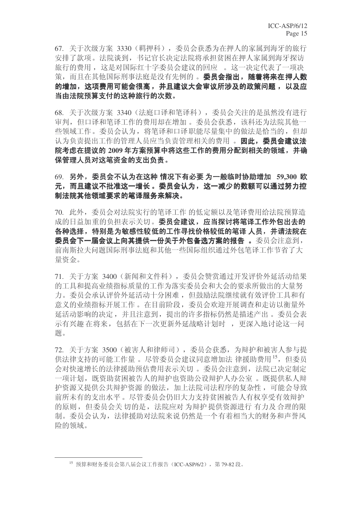67. 关于次级方案 3330 (羁押科), 委员会获悉为在押人的家属到海牙的旅行 安排了款项。法院谈到, 书记官长决定法院将承担贫困在押人家属到海牙探访 旅行的费用, 这是对国际红十字委员会建议的回应。这一决定代表了一项决 策, 而且在其他国际刑事法庭是没有先例的。委员会指出, 随着将来在押人数 的增加,这项费用可能会很高,并且建议大会审议所涉及的政策问题,以及应 当由法院预算支付的这种旅行的次数。

68. 关于次级方案 3340 (法庭口译和笔译科), 委员会关注的是虽然没有进行 审判, 但口译和笔译工作的费用却在增加。委员会获悉, 该科还为法院其他一 些领域工作。委员会认为, 将笔译和口译职能尽量集中的做法是恰当的, 但却 认为负责提出工作的管理人员应当负责管理相关的费用。因此, 委员会建议法 院考虑在提议的 2009 年方案预算中将这些工作的费用分配到相关的领域, 并确 保管理人员对这笔资金的支出负责。

69. 另外,委员会不认为在这种 情况下有必要 为一般临时协助增加 59,300 欧 元,而且建议不批准这一增长。委员会认为,这一减少的数额可以通过努力控 制法院其他领域要求的笔译服务来解决。

70. 此外,委员会对法院实行的笔译工作的低定额以及笔译费用给法院预算造 成的日益加重的负担表示关切。委员会建议,应当探讨将笔译工作外包出去的 各种选择,特别是为敏感性较低的工作寻找价格较低的笔译 人员,并请法院在 委员会下一届会议上向其提供一份关于外包备选方案的报告 。委员会注意到, 前南斯拉夫问题国际刑事法庭和其他一些国际组织通过外包笔译工作节省了大 量资金。

71. 关于方案 3400 (新闻和文件科), 委员会赞赏通过开发评价外延活动结果 的工具和提高业绩指标质量的工作为落实委员会和大会的要求所做出的大量努 力。委员会承认评价外延活动十分困难, 但鼓励法院继续就有效评价工具和有 意义的业绩指标开展工作。在目前阶段,委员会欢迎开展调查和走访以衡量外 延活动影响的决定,并且注意到,提出的许多指标仍然是描述产出。委员会表 示有兴趣 在将来, 包括在下一次更新外延战略计划时, 更深入地讨论这一问 题。

72. 关于方案 3500 (被害人和律师司), 委员会获悉, 为辩护和被害人参与提 供法律支持的可能工作量。 尽管委员会建议同意增加法 律援助费用 15, 但委员 会对快速增长的法律援助预估费用表示关切。委员会注意到, 法院已决定制定 一项计划, 既资助贫困被告人的辩护也资助公设辩护人办公室。既提供私人辩 护资源又提供公共辩护资源 的做法,加上法院司法程序的复杂性,可能会导致 前所未有的支出水平。尽管委员会仍旧大力支持贫困被告人有权享受有效辩护 的原则, 但委员会关切的是, 法院应对为辩护提供资源进行 有力及合理的限 制。委员会认为, 法律援助对法院来说 仍然是一个有着相当大的财务和声誉风 险的领域。

 $^{15}$  预算和财务委员会第八届会议工作报告 (ICC-ASP/6/2), 第79-82 段。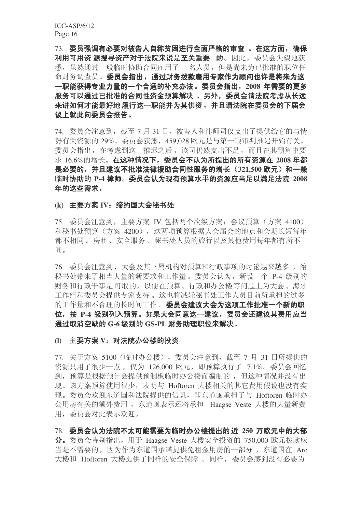73. 委员强调有必要对被告人自称贫困进行全面严格的审查 。在这方面, 确保 利用可用资源搜寻资产对于法院来说是至关重要 的。因此, 委员会失望地获 悉, 虽然通过一般临时协助合同雇用了一 名人员, 但是尚未为已批准的职位任 命财务调查员。委员会指出,通过财务拨款雇用专家作为顾问也许是将来为这 一职能获得专业力量的一个合适的补充办法。委员会指出, 2008 年需要的更多 服务可以通过已批准的合同性资金预算解决 。另外, 委员会请法院考虑从长远 来讲如何才能最好地 履行这一职能并为其供资, 并且请法院在委员会的下届会 议上就此向委员会报告。

74. 委员会注意到, 截至 7 月 31 日, 被害人和律师司仅支出了提供给它的与情 势有关资源的 29%。委员会获悉, 459,028 欧元是与第一项审判推迟开始有关。 委员会指出, 在考虑到这一推迟之后, 该司仍然支出不足, 而且在其预算中要 **求 16.6%的增长。在这种情况下,委员会不认为所提出的所有资源在 2008 年都** 是必要的, 并且建议不批准法律援助合同性服务的增长 (321,500 欧元) 和一般 **临时协助的 P-4 律师。委员会认为现有预算水平的资源应当足以满足法院 2008** 年的这些需求。

#### (k) 主要方案 IV: 缔约国大会秘书处

75. 委员会注意到, 主要方案 IV 包括两个次级方案: 会议预算(方案 4100) 和秘书处预算(方案 4200), 这两项预算根据大会届会的地点和会期长短每年 都不相同。房租、安全服务、秘书处人员的旅行以及其他费用每年都有所不 同。

76. 委员会注意到, 大会及其下属机构对预算和行政事项的讨论越来越多, 给 秘书处带来了相当大量的新要求和工作量。委员会认为, 新设一个 P-4 级别的 财务和行政干事是可取的,以便在预算、行政和办公楼等问题上为大会、海牙 工作组和委员会提供专家支持。这也将减轻秘书处工作人员目前所承担的过多 的工作量和不合理的长时间工作。委员会建议大会为这项工作批准一个新的职 位, 按 P-4 级别列入预算。如果大会同意这一建议, 委员会还建议其费用应当 通过取消空缺的 G-6 级别的 GS-PL 财务助理职位来解决。

#### (l) 主要方案 V: 对法院办公楼的投资

77. 关于方案 5100 (临时办公楼), 委员会注意到, 截至 7 月 31 日所提供的 资源只用了很少一点,仅为 126,000 欧元,即预算执行了 7.1%。委员会回忆 到, 预算是根据预计会提供预制板临时办公楼而编制的, 但这种情况并没有出 现。该方案预算使用很少,表明与 Hoftoren 大楼相关的其它费用假设也没有实 现。委员会欢迎东道国和法院提供的信息, 即东道国承担了与 Hoftoren 临时办 公用房有关的额外费用, 东道国表示还将承担 Haagse Veste 大楼的大量新费 用, 委员会对此表示欢迎。

78. 委员会认为法院不太可能需要为临时办公楼提出的近 250 万欧元中的大部  $\bigoplus$  委员会特别指出, 用于 Haagse Veste 大楼安全投资的 750,000 欧元拨款应 当是不需要的,因为作为东道国承诺提供免租金用房的一部分,东道国在 Arc 大楼和 Hoftoren 大楼提供了同样的安全保障。同样, 委员会感到没有必要为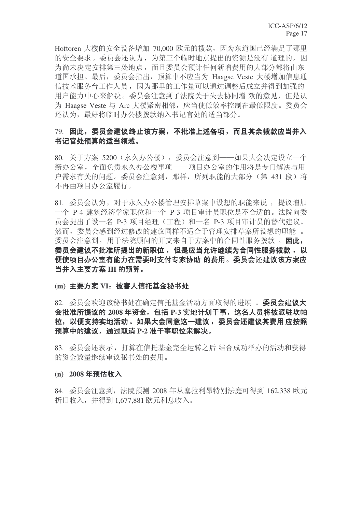Hoftoren 大楼的安全设备增加 70,000 欧元的拨款, 因为东道国已经满足了那里 的安全要求。委员会还认为,为第三个临时地点提出的资源是没有 道理的,因 为尚未决定安排第三处地点,而且委员会预计任何新增费用的大部分都将由东 道国承担。最后, 委员会指出, 预算中不应当为 Haagse Veste 大楼增加信息通 信技术服务台工作人员,因为那里的工作量可以通过调整后成立并得到加强的 用户能力中心来解决。委员会注意到了法院关于失去协同增效的意见,但是认 为 Haagse Veste 与 Arc 大楼紧密相邻, 应当使低效率控制在最低限度。委员会 还认为, 最好将临时办公楼拨款纳入书记官处的适当部分。

## 79. 因此,委员会建议终止该方案,不批准上述各项,而且其余拨款应当并入 书记官处预算的适当领域。

80. 关于方案 5200 (永久办公楼), 委员会注意到——如果大会决定设立一个 新办公室, 全面负责永久办公楼事项 -- 项目办公室的作用将是专门解决与用 户需求有关的问题。委员会注意到, 那样, 所列职能的大部分(第431段) 将 不再由项目办公室履行。

81. 委员会认为, 对于永久办公楼管理安排草案中设想的职能来说, 提议增加 一个 P-4 建筑经济学家职位和一个 P-3 项目审计员职位是不合适的。法院向委 员会提出了设一名 P-3 项目经理(工程)和一名 P-3 项目审计员的替代建议。 然而, 委员会感到经过修改的建议同样不适合于管理安排草案所设想的职能。 委员会注意到, 用于法院顾问的开支来自于方案中的合同性服务拨款。因此, 委员会建议不批准所提出的新职位, 但是应当允许继续为合同性服务拨款, 以 便使项目办公室有能力在需要时支付专家协助 的费用。委员会还建议该方案应 当并入主要方案 III 的预算。

#### (m) 主要方案 VI: 被害人信托基金秘书处

## 82. 委员会欢迎该秘书处在确定信托基金活动方面取得的进展。 委员会建议大 会批准所提议的 2008 年资金, 包括 P-3 实地计划干事, 这名人员将被派驻坎帕 拉,以便支持实地活动 。如果大会同意这一建议 ,委员会还建议其费用 应按照 预算中的建议, 通过取消 P-2 准干事职位来解决。

83. 委员会还表示,打算在信托基金完全运转之后 结合成功举办的活动和获得 的资金数量继续审议秘书处的费用。

#### (n) 2008年预估收入

84. 委员会注意到, 法院预测 2008 年从塞拉利昂特别法庭可得到 162.338 欧元 折旧收入, 并得到 1,677,881 欧元利息收入。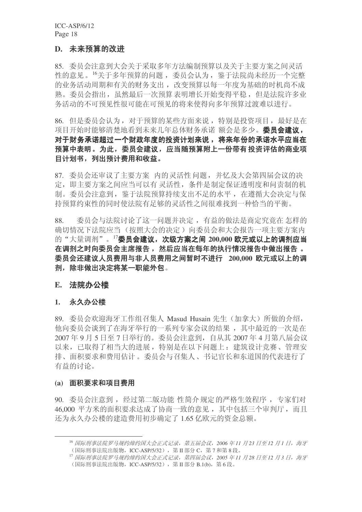## D. 未来预算的改进

85. 委员会注意到大会关于采取多年方法编制预算以及关于主要方案之间灵活 性的意见。<sup>16</sup>关于多年预算的问题, 委员会认为, 鉴于法院尚未经历一个完整 的业务活动周期和有关的财务支出, 改变预算以每一年度为基础的时机尚不成 熟。委员会指出,虽然最后一次预算表明增长开始变得平稳,但是法院许多业 务活动的不可预见的将来使得向多年预算过渡难以进行。

86. 但是委员会认为, 对于预算的某些方面来说, 特别是投资项目, 最好是在 项目开始时能够清楚地看到未来几年总体财务承诺 额会是多少。 委员会建议, 对于财务承诺超过一个财政年度的投资计划来说, 将来年份的承诺水平应当在 预算中表明。为此,委员会建议,应当随预算附上一份带有投资评估的商业项 目计划书, 列出预计费用和收益。

87. 委员会还审议了主要方案 内的灵活性问题, 并忆及大会第四届会议的决 定, 即主要方案之间应当可以有 灵活性, 条件是制定保证透明度和问责制的机 制。委员会注意到, 鉴于法院预算持续支出不足的水平, 在遵循大会决定与保 持预算约束性的同时使法院有足够的灵活性之间很难找到一种恰当的平衡。

88. 委员会与法院讨论了这一问题并决定, 有益的做法是商定究竟在怎样的 确切情况下法院应当(按照大会的决定)向委员会和大会报告一项主要方案内 的"大量调剂"。<sup>17</sup>委员会建议, 次级方案之间 200,000 欧元或以上的调剂应当 在调剂之时向委员会主席报告, 然后应当在每年的执行情况报告中做出报告。 委员会还建议人员费用与非人员费用之间暂时不进行 200,000 欧元或以上的调 剂,除非做出决定将某一职能外包。

### E. 法院办公楼

#### 1. 永久办公楼

89. 委员会欢迎海牙工作组召集人 Masud Husain 先生(加拿大) 所做的介绍, 他向委员会谈到了在海牙举行的一系列专家会议的结果,其中最近的一次是在 2007年9月5日至7日举行的。委员会注意到,自从其 2007年4月第八届会议 以来, 已取得了相当大的进展, 特别是在以下问题上: 建筑设计竞赛、管理安 排、面积要求和费用估计。委员会与召集人、书记官长和东道国的代表讲行了 有益的讨论。

#### (a) 面积要求和项目费用

90. 委员会注意到, 经过第二版功能 性简介规定的严格生效程序, 专家们对 46,000 平方米的面积要求达成了协商一致的意见, 其中包括三个审判厅, 而且 还为永久办公楼的建造费用初步确定了 1.65 亿欧元的资金总额。

<sup>&</sup>lt;sup>16</sup> 国际刑事法院罗马规约缔约国大会正式记录, 第五届会议, 2006 年11 月23 日至12 月1 日, 海牙 (国际刑事法院出版物, ICC-ASP/5/32), 第 II 部分 C, 第 7 和第 8 段。

<sup>&</sup>lt;sup>17</sup> 国际刑事法院罗马规约缔约国大会正式记录,第四届会议, 2005 年11 月28 日至12 月3 日, 海牙 (国际刑事法院出版物, ICC-ASP/5/32), 第Ⅱ部分 B.1(b), 第6段。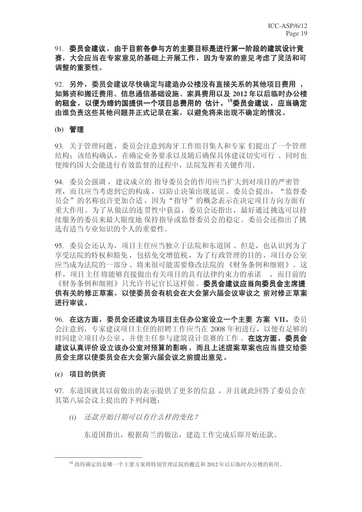91. 委员会建议,由于目前各参与方的主要目标是进行第一阶段的建筑设计竞 **赛,大会应当在专家意见的基础上开展工作,因为专家的意见考虑了灵活和可** 调整的重要性。

92. 另外,委员会建议尽快确定与建造办公楼没有直接关系的其他项目费用, 如筹资和搬迁费用、信息通信基础设施、家具费用以及 2012 年以后临时办公楼 的租金, 以便为缔约国提供一个项目总费用的 估计。<sup>18</sup>委员会建议, 应当确定 由谁负责这些其他问题并正式记录在案,以避免将来出现不确定的情况。

#### (b) 管理

93. 关于管理问题, 委员会注意到海牙工作组召集人和专家们提出了一个管理 结构:该结构确认,在确定业务要求以及随后确保具体建议切实可行 、同时也 使缔约国大会能进行有效监督的过程中,法院发挥着关键作用。

94. 委员会强调, 建议成立的指导委员会的作用应当扩大到对项目的严密管 理,而且应当考虑到它的构成,以防止决策出现延误。委员会提出,"监督委 员会"的名称也许更加合适,因为"指导"的概念表示在决定项目方向方面有 重大作用。为了从做法的连贯性中获益,委员会还指出,最好通过挑选可以持 续服务的委员来最大限度地 保持指导或监督委员会的稳定。委员会还指出了挑 选有适当专业知识的个人的重要性。

95. 委员会还认为,项目主任应当独立于法院和东道国。但是,也认识到为了 享受法院的特权和豁免, 包括免交增值税, 为了行政管理的目的, 项目办公室 应当成为法院的一部分。将来很可能需要修改法院的 《财务条例和细则》。这 样, 项目主任将能够直接做出有关项目的具有法律约束力的承诺。 而目前的 《财务条例和细则》只允许书记官长这样做。委员会建议应当向委员会主席提 供有关的修正草案,以使委员会有机会在大会第六届会议审议之 前对修正草案 进行审议。

96. 在这方面, 委员会还建议为项目主任办公室设立一个主要 方案 VII。委员 会注意到, 专家建议项目主任的招聘工作应当在 2008 年初进行, 以便有足够的 时间建立项目办公室, 并使主任参与建筑设计竞赛的工作。在这方面, 委员会 建议认真评价设立该办公室对预算的影响,而且上述提案草案也应当提交给委 员会主席以使委员会在大会第六届会议之前提出意见。

#### (c) 项目的供资

97. 东道国就其以前做出的表示提供了更多的信息, 并且就此回答了委员会在 其第八届会议上提出的下列问题:

(i) 还款开始日期可以有什么样的变化?

东道国指出, 根据荷兰的做法, 建造工作完成后即开始还款。

 $^{18}$  尚待确定的是哪一个主要方案将特别管理法院的搬迁和 2012 年以后临时办公楼的租用。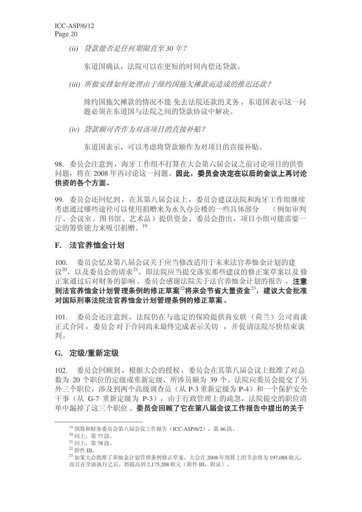*(ii)* 贷款能否是任何期限直至30年?

东道国确认, 法院可以在更短的时间内偿还贷款。

(iii) 所做安排如何处理由于缔约国拖欠摊款而造成的推迟还款?

缔约国拖欠摊款的情况不能 免去法院还款的义务。东道国表示这一问 题必须在东道国与法院之间的贷款协议中解决。

(iv) 贷款额可否作为对该项目的直接补贴?

东道国表示, 可以考虑将贷款额作为对项目的直接补贴。

98. 委员会注意到, 海牙工作组不打算在大会第六届会议之前讨论项目的供资 问题, 将在 2008 年再讨论这一问题。因此, 委员会决定在以后的会议上再讨论 供资的各个方面。

99. 委员会还回忆到, 在其第八届会议上, 委员会建议法院和海牙工作组继续 考虑通过哪些途径可以使用捐赠来为永久办公楼的一些具体部分 (例如审判 厅、会议室、图书馆、艺术品)提供资金。委员会指出,项目小组可能需要一 定的筹资能力来吸引捐赠。19

## **F.** 法官养恤金计划

100. 委员会忆及第八届会议关于应当修改适用于未来法官养恤金计划的建 议<sup>20</sup>, 以及委员会的请求<sup>21</sup>, 即法院应当提交落实那些建议的修正案草案以及修 正案通过后对财务的影响。委员会感谢法院关于法官养恤金计划的报告, 注意 到法官养恤金计划管理条例的修正草案22将来会节省大量资金23,建议大会批准 对国际刑事法院法官养恤金计划管理条例的修正草案。

101. 委员会还注意到, 法院仍在与选定的保险提供商安联(荷兰)公司商谈 正式合同, 委员会对于合同尚未最终完成表示关切, 并促请法院尽快结束谈 判。

#### **G. 定级/重新定级**

102. 委员会回顾到, 根据大会的授权, 委员会在其第八届会议上批准了对总 数为 20 个职位的定级或重新定级, 所涉员额为 39 个。法院向委员会提交了另 外三个职位, 涉及到两个高级调查员(从 P-3 重新定级为 P-4) 和一个保护安全 干事(从 G-7 重新定级为 P-3), 由于行政管理上的疏忽, 法院提交的职位清 单中漏掉了这三个职位。委员会回顾了它在第八届会议工作报告中提出的关于

<sup>&</sup>lt;sup>19</sup> 预算和财务委员会第八届会议工作报告(ICC-ASP/6/2), 第46段。

 $20$  同上。第77段。

 $21$  同上, 第78 段。

 $22$  附件 III。

<sup>&</sup>lt;sup>23</sup> 如果大会批准了养恤金计划管理条例修正草案, 大会在 2008 年预算上的节余将为 197,088 欧元, 而且在全面执行之后, 将提高到 2,175,208 欧元 (附件 III, 附录)。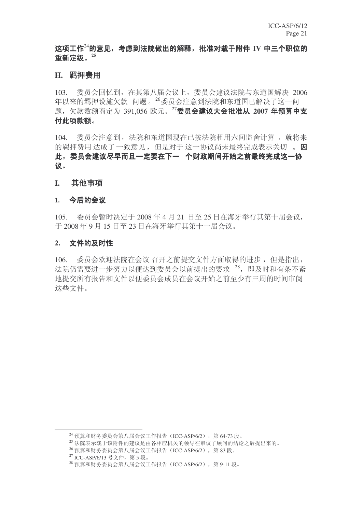## 这项工作24的意见,考虑到法院做出的解释,批准对载于附件 IV 中三个职位的 䞡ᮄᅮ㑻DŽ**<sup>25</sup>**

## H. 羁押费用

103. 委员会回忆到, 在其第八届会议上, 委员会建议法院与东道国解决 2006 年以来的羁押设施欠款 问题。<sup>26</sup>委员会注意到法院和东道国已解决了这一问 题, 欠款数额商定为 391,056 欧元。<sup>27</sup>委员会建议大会批准从 2007 年预算中支 付此项款额。

104. 委员会注意到, 法院和东道国现在已按法院租用六间监舍计算, 就将来 的羁押费用达成了一致意见, 但是对于这一协议尚未最终完成表示关切。因 此, 委员会建议尽早而且一定要在下一 个财政期间开始之前最终完成这一协 议。

### **I.** 其他事项

#### 1. 今后的会议

 $105.$  委员会暂时决定于 2008 年 4 月 21 日至 25 日在海牙举行其第十届会议, 于 2008年9月15日至23日在海牙举行其第十一届会议。

#### 2. 文件的及时性

106. 委员会欢迎法院在会议召开之前提交文件方面取得的进步,但是指出, 法院仍需要进一步努力以便达到委员会以前提出的要求<sup>28</sup>, 即及时和有条不紊 地提交所有报告和文件以便委员会成员在会议开始之前至少有三周的时间审阅 这些文件。

 $24$  预算和财务委员会第八届会议工作报告 (ICC-ASP/6/2), 第64-73 段。

<sup>25</sup> 法院表示载于该附件的建议是由各相应机关的领导在审议了顾问的结论之后提出来的。

<sup>&</sup>lt;sup>26</sup> 预算和财务委员会第八届会议工作报告(ICC-ASP/6/2), 第83段。

<sup>&</sup>lt;sup>27</sup> ICC-ASP/6/13 号文件, 第5段。

 $^{28}$  预算和财务委员会第八届会议工作报告 (ICC-ASP/6/2), 第 9-11 段。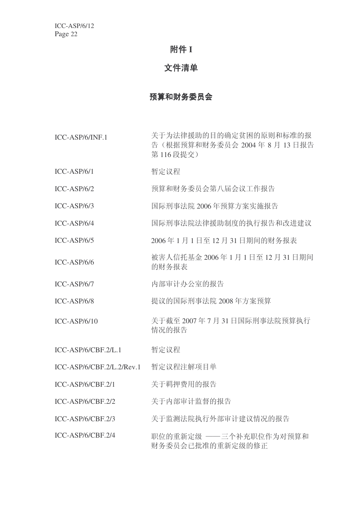## 附件 I

## 文件清单

## 预算和财务委员会

ICC-ASP/6/INF.1 关于为法律援助的目的确定贫困的原则和标准的报 告(根据预算和财务委员会 2004 年 8 月 13 日报告 第116 段提交)

- ICC-ASP/6/1 暂定议程
- ICC-ASP/6/2 预算和财务委员会第八届会议工作报告
- ICC-ASP/6/3 䰙ߥџ⊩䰶 2006 ᑈ乘ㅫᮍḜᅲᮑਞ
- ICC-ASP/6/4 国际刑事法院法律援助制度的执行报告和改讲建议
- ICC-ASP/6/5 2006年1月1日至12月31日期间的财务报表
- ICC-ASP/6/6 被害人信托基金 2006 年 1 月 1 日至 12 月 31 日期间 的财务报表
- ICC-ASP/6/7 内部审计办公室的报告
- ICC-ASP/6/8 ᦤ䆂ⱘ䰙ߥџ⊩䰶 2008 ᑈᮍḜ乘ㅫ
- ICC-ASP/6/10 关于截至 2007年7月 31 日国际刑事法院预算执行 情况的报告
- ICC-ASP/6/CBF.2/L.1 暂定议程
- ICC-ASP/6/CBF.2/L.2/Rev.1 暂定议程注解项目单
- ICC-ASP/6/CBF.2/1 关于羁押费用的报告
- ICC-ASP/6/CBF.2/2 关于内部审计监督的报告
- ICC-ASP/6/CBF.2/3 关于监测法院执行外部审计建议情况的报告
- ICC-ASP/6/CBF.2/4 职位的重新定级 —— 三个补充职位作为对预算和 财务委员会已批准的重新定级的修正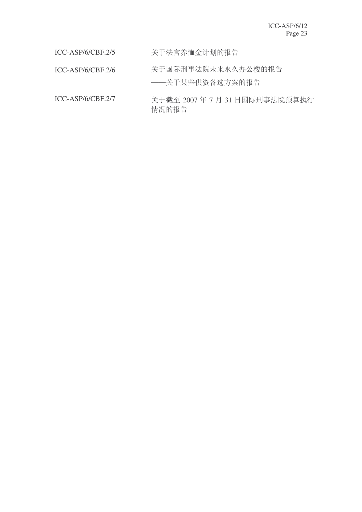ICC-ASP/6/CBF.2/5 关于法官养恤金计划的报告

ICC-ASP/6/CBF.2/6 关于国际刑事法院未来永久办公楼的报告

——关于某些供资备选方案的报告

ICC-ASP/6/CBF.2/7 关于截至 2007 年 7 月 31 日国际刑事法院预算执行 情况的报告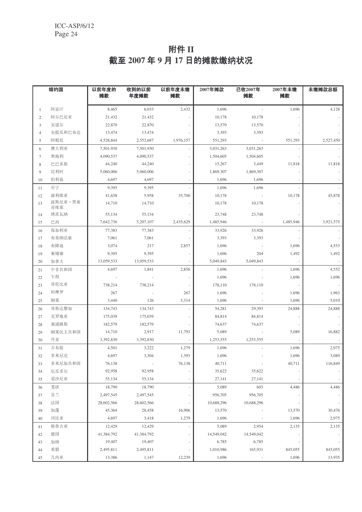# 附件 II 截至 2007 年 9 月 17 日的摊款缴纳状况

|                | 缔约国            | 以前年度的<br>摊款 | 收到的以前<br>年度摊款 | 以前年度未缴<br>摊款 | 2007年摊款    | 已收2007年<br>摊款            | 2007年未缴<br>摊款 | 未缴摊款总额    |
|----------------|----------------|-------------|---------------|--------------|------------|--------------------------|---------------|-----------|
| -1             | 阿富汗            | 8,465       | 6,033         | 2,432        | 1,696      |                          | 1,696         | 4,128     |
| 2              | 阿尔巴尼亚          | 21,432      | 21,432        |              | 10,178     | 10,178                   |               |           |
| 3              | 安道尔            | 22,870      | 22,870        |              | 13,570     | 13,570                   |               |           |
| $\overline{4}$ | 安提瓜和巴布达        | 13,474      | 13,474        |              | 3,393      | 3,393                    |               |           |
| 5              | 阿根廷            | 4,528,844   | 2,552,687     | 1,976,157    | 551,293    | $\sim$ $-$               | 551,293       | 2,527,450 |
| 6              | 澳大利亚           | 7,501,930   | 7,501,930     |              | 3,031,263  | 3,031,263                |               |           |
| $\tau$         | 奥地利            | 4,090,537   | 4,090,537     |              | 1,504,605  | 1,504,605                |               |           |
| 8              | 巴巴多斯           | 44,240      | 44,240        |              | 15,267     | 3,449                    | 11,818        | 11,818    |
| 9              | 比利时            | 5,060,006   | 5,060,006     |              | 1,869,307  | 1,869,307                |               |           |
| 10             | 伯利兹            | 4,697       | 4,697         |              | 1,696      | 1,696                    |               |           |
| 11             | 贝宁             | 9,395       | 9,395         |              | 1,696      | 1,696                    |               |           |
| 12             | 玻利维亚           | 41,658      | 5,958         | 35,700       | 10,178     |                          | 10,178        | 45,878    |
| 13             | 波斯尼亚一黑塞<br>哥维那 | 14,710      | 14,710        |              | 10,178     | 10,178                   |               |           |
| 14             | 博茨瓦纳           | 55,134      | 55,134        |              | 23,748     | 23,748                   |               |           |
| 15             | 巴西             | 7,642,736   | 5,207,107     | 2,435,629    | 1,485,946  | $\sim 100$               | 1,485,946     | 3,921,575 |
| 16             | 保加利亚           | 77,383      | 77,383        |              | 33,926     | 33,926                   |               |           |
| 17             | 布基纳法索          | 7,061       | 7,061         |              | 3,393      | 3,393                    |               |           |
| 18             | 布隆迪            | 3,074       | 217           | 2,857        | 1,696      |                          | 1,696         | 4,553     |
| 19             | 柬埔寨            | 9,395       | 9,395         |              | 1,696      | 204                      | 1,492         | 1,492     |
| 20             | 加拿大            | 13,059,533  | 13,059,533    |              | 5,049,843  | 5,049,843                |               |           |
| 21             | 中非共和国          | 4,697       | 1,841         | 2,856        | 1,696      |                          | 1,696         | 4,552     |
| 22             | 乍得             |             |               |              | 1,696      |                          | 1,696         | 1,696     |
| 23             | 哥伦比亚           | 738,214     | 738,214       |              | 178,110    | 178,110                  |               |           |
| 24             | 科摩罗            | 267         |               | 267          | 1,696      |                          | 1,696         | 1,963     |
| 25             | 刚果             | 3,440       | 126           | 3,314        | 1,696      |                          | 1,696         | 5,010     |
| 26             | 哥斯达黎加          | 134,743     | 134,743       |              | 54,281     | 29,393                   | 24,888        | 24,888    |
| 27             | 克罗地亚           | 175,039     | 175,039       |              | 84,814     | 84,814                   |               |           |
| 28             | 塞浦路斯           | 182,579     | 182,579       |              | 74,637     | 74,637                   |               |           |
| 29             | 刚果民主共和国        | 14,710      | 2,917         | 11,793       | 5,089      |                          | 5,089         | 16,882    |
| 30             | 丹麦             | 3,392,830   | 3,392,830     |              | 1,253,555  | 1,253,555                |               |           |
| 31             | 吉布提            | 4,501       | 3,222         | 1,279        | 1,696      |                          | 1,696         | 2,975     |
| 32             | 多米尼克           | 4,697       | 3,304         | 1,393        | 1,696      |                          | 1,696         | 3,089     |
| 33             | 多米尼加共和国        | 76,138      | $\sim$        | 76,138       | 40,711     | ÷,                       | 40,711        | 116,849   |
| 34             | 厄瓜多尔           | 92,958      | 92,958        |              | 35,622     | 35,622                   |               |           |
| 35             | 爱沙尼亚           | 55,134      | 55,134        |              | 27,141     | 27,141                   |               |           |
| 36             | 斐济             | 18,790      | 18,790        |              | 5,089      | 603                      | 4,486         | 4,486     |
| 37             | 芬兰             | 2,497,545   | 2,497,545     |              | 956,705    | 956,705                  |               |           |
| 38             | 法国             | 28,602,566  | 28,602,566    |              | 10,688,296 | 10,688,296               |               |           |
| 39             | 加蓬             | 45,364      | 28,458        | 16,906       | 13,570     |                          | 13,570        | 30,476    |
| 40             | 冈比亚            | 4,697       | 3,418         | 1,279        | 1,696      |                          | 1,696         | 2,975     |
| 41             | 格鲁吉亚           | 12,429      | 12,429        |              | 5,089      | 2,954                    | 2,135         | 2,135     |
| 42             | 德国             | 41,384,792  | 41,384,792    |              | 14,549,042 | 14,549,042               |               |           |
| 43             | 加纳             | 19,407      | 19,407        |              | 6,785      | 6,785                    |               |           |
| 44             | 希腊             | 2,495,811   | 2,495,811     |              | 1,010,986  | 165,931                  | 845,055       | 845,055   |
| 45             | 几内亚            | 13,386      | 1,147         | 12,239       | 1,696      | $\overline{\phantom{a}}$ | 1,696         | 13,935    |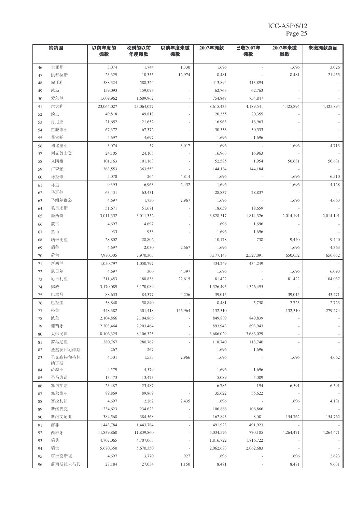|    | 缔约国        | 以前年度的<br>摊款 | 收到的以前<br>年度摊款 | 以前年度未缴<br>摊款 | 2007年摊款   | 已收2007年<br>摊款            | 2007年未缴<br>摊款 | 未缴摊款总额    |
|----|------------|-------------|---------------|--------------|-----------|--------------------------|---------------|-----------|
| 46 | 圭亚那        | 3,074       | 1,744         | 1,330        | 1,696     |                          | 1,696         | 3,026     |
| 47 | 洪都拉斯       | 23,329      | 10,355        | 12,974       | 8,481     |                          | 8,481         | 21,455    |
| 48 | 匈牙利        | 588,324     | 588,324       |              | 413,894   | 413,894                  |               |           |
| 49 | 冰岛         | 159,093     | 159,093       |              | 62,763    | 62,763                   |               |           |
| 50 | 爱尔兰        | 1,609,962   | 1,609,962     |              | 754,847   | 754,847                  |               |           |
| 51 | 意大利        | 23,064,027  | 23,064,027    |              | 8,615,435 | 4,189,541                | 4,425,894     | 4,425,894 |
| 52 | 约旦         | 49,818      | 49,818        |              | 20,355    | 20,355                   |               |           |
| 53 | 肯尼亚        | 21,652      | 21,652        |              | 16,963    | 16,963                   |               |           |
| 54 | 拉脱维亚       | 67,372      | 67,372        |              | 30,533    | 30,533                   |               |           |
| 55 | 莱索托        | 4,697       | 4,697         |              | 1,696     | 1,696                    |               |           |
| 56 | 利比里亚       | 3,074       | 57            | 3,017        | 1,696     |                          | 1,696         | 4,713     |
| 57 | 列支敦士登      | 24,105      | 24,105        |              | 16,963    | 16,963                   |               |           |
| 58 | 立陶宛        | 101,163     | 101,163       |              | 52,585    | 1,954                    | 50,631        | 50,631    |
| 59 | 卢森堡        | 363,553     | 363,553       |              | 144,184   | 144,184                  |               |           |
| 60 | 马拉维        | 5,078       | 264           | 4,814        | 1,696     |                          | 1,696         | 6,510     |
| 61 | 马里         | 9,395       | 6,963         | 2,432        | 1,696     |                          | 1,696         | 4,128     |
| 62 | 马耳他        | 63,431      | 63,431        |              | 28,837    | 28,837                   |               |           |
| 63 | 马绍尔群岛      | 4,697       | 1,730         | 2,967        | 1,696     | $\sim$                   | 1,696         | 4,663     |
| 64 | 毛里求斯       | 51,671      | 51,671        |              | 18,659    | 18,659                   |               |           |
| 65 | 墨西哥        | 3,011,352   | 3,011,352     |              | 3,828,517 | 1,814,326                | 2,014,191     | 2.014.191 |
| 66 | 蒙古         | 4,697       | 4,697         |              | 1,696     | 1,696                    |               |           |
| 67 | 黑山         | 933         | 933           |              | 1,696     | 1,696                    |               |           |
| 68 | 纳米比亚       | 28,802      | 28,802        |              | 10,178    | 738                      | 9,440         | 9,440     |
| 69 | 瑙鲁         | 4,697       | 2,030         | 2,667        | 1,696     |                          | 1,696         | 4,363     |
| 70 | 荷兰         | 7,970,305   | 7,970,305     |              | 3,177,143 | 2,527,091                | 650,052       | 650,052   |
| 71 | 新西兰        | 1,050,797   | 1,050,797     |              | 434,249   | 434,249                  |               |           |
| 72 | 尼日尔        | 4,697       | 300           | 4,397        | 1,696     |                          | 1,696         | 6,093     |
| 73 | 尼日利亚       | 211,453     | 188,838       | 22,615       | 81,422    |                          | 81,422        | 104,037   |
| 74 | 挪威         | 3,170,089   | 3,170,089     |              | 1,326,495 | 1,326,495                |               |           |
| 75 | 巴拿马        | 88,633      | 84,377        | 4,256        | 39,015    |                          | 39,015        | 43,271    |
| 76 | 巴拉圭        | 58,840      | 58,840        |              | 8,481     | 5,758                    | 2,723         | 2,723     |
| 77 | 秘鲁         | 448,382     | 301,418       | 146,964      | 132,310   |                          | 132,310       | 279,274   |
| 78 | 波兰         | 2,104,866   | 2,104,866     |              | 849,839   | 849,839                  |               |           |
| 79 | 葡萄牙        | 2,203,464   | 2,203,464     |              | 893,943   | 893,943                  |               |           |
| 80 | 大韩民国       | 8,106,325   | 8,106,325     |              | 3,686,029 | 3,686,029                |               |           |
| 81 | 罗马尼亚       | 280,767     | 280,767       |              | 118,740   | 118,740                  |               |           |
| 82 | 圣基茨和尼维斯    | 267         | 267           |              | 1,696     | 1,696                    |               |           |
| 83 | 圣文森特和格林    | 4,501       | 1,535         | 2,966        | 1,696     |                          | 1,696         | 4,662     |
| 84 | 纳丁斯<br>萨摩亚 | 4,579       | 4,579         |              | 1,696     | 1,696                    |               |           |
| 85 | 圣马力诺       | 13,473      | 13,473        |              | 5,089     | 5,089                    |               |           |
| 86 | 塞内加尔       | 23,487      | 23,487        |              | 6,785     | 194                      | 6,591         | 6,591     |
| 87 | 塞尔维亚       | 89,869      | 89,869        |              | 35,622    | 35,622                   |               |           |
| 88 | 塞拉利昂       | 4,697       | 2,262         | 2,435        | 1,696     |                          | 1,696         | 4,131     |
| 89 | 斯洛伐克       | 234,623     | 234,623       |              | 106,866   | 106,866                  |               |           |
| 90 | 斯洛文尼亚      | 384,568     | 384,568       |              | 162,843   | 8,081                    | 154,762       | 154,762   |
| 91 | 南非         | 1,443,784   | 1,443,784     |              | 491,923   | 491,923                  |               |           |
| 92 | 西班牙        | 11,839,860  | 11,839,860    |              | 5,034,576 | 770,105                  | 4,264,471     | 4,264,471 |
| 93 | 瑞典         | 4,707,065   | 4,707,065     |              | 1,816,722 | 1,816,722                |               |           |
| 94 | 瑞士         | 5,670,350   | 5,670,350     |              | 2,062,683 | 2,062,683                |               |           |
| 95 | 塔吉克斯坦      | 4,697       | 3,770         | 927          | 1,696     | $\overline{\phantom{a}}$ | 1,696         | 2,623     |
| 96 | 前南斯拉夫马其    | 28,184      | 27,034        | 1,150        | 8,481     |                          | 8,481         | 9,631     |
|    |            |             |               |              |           |                          |               |           |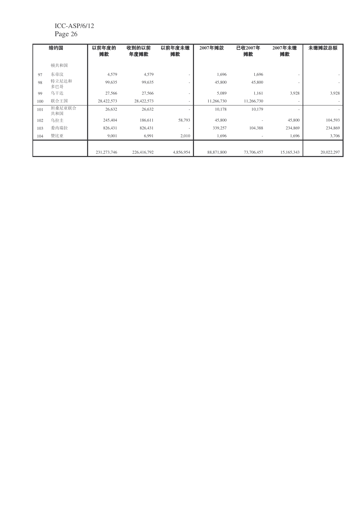|     | 缔约国           | 以前年度的<br>摊款   | 收到的以前<br>年度摊款 | 以前年度未缴<br>摊款             | 2007年摊款    | 已收2007年<br>摊款 | 2007年未缴<br>摊款 | 未缴摊款总额     |
|-----|---------------|---------------|---------------|--------------------------|------------|---------------|---------------|------------|
|     | 顿共和国          |               |               |                          |            |               |               |            |
| 97  | 东帝汶           | 4,579         | 4,579         |                          | 1,696      | 1,696         | $\sim$        | ٠          |
| 98  | 特立尼达和<br>多巴哥  | 99,635        | 99,635        | $\overline{\phantom{a}}$ | 45,800     | 45,800        | $\sim$        | $\sim$     |
| 99  | 乌干达           | 27,566        | 27,566        | $\overline{\phantom{a}}$ | 5,089      | 1,161         | 3,928         | 3,928      |
| 100 | 联合王国          | 28,422,573    | 28,422,573    | $\overline{\phantom{a}}$ | 11,266,730 | 11,266,730    | $\sim$        | ٠          |
| 101 | 坦桑尼亚联合<br>共和国 | 26,632        | 26,632        |                          | 10,178     | 10,179        | $\sim$        | ٠          |
| 102 | 乌拉圭           | 245,404       | 186,611       | 58,793                   | 45,800     |               | 45,800        | 104,593    |
| 103 | 委内瑞拉          | 826,431       | 826,431       |                          | 339,257    | 104,388       | 234,869       | 234,869    |
| 104 | 赞比亚           | 9,001         | 6,991         | 2,010                    | 1,696      |               | 1,696         | 3,706      |
|     |               |               |               |                          |            |               |               |            |
|     |               | 231, 273, 746 | 226,416,792   | 4,856,954                | 88,871,800 | 73,706,457    | 15,165,343    | 20,022,297 |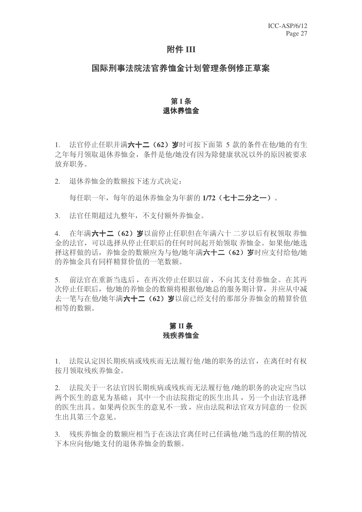## 附件 III

## 国际刑事法院法官养恤金计划管理条例修正草案

## 第1条 退休养恤金

1. 法官停止任职并满六十二 (62) 岁时可按下面第 5 款的条件在他/她的有生 之年每月领取退休养恤金, 条件是他/她没有因为除健康状况以外的原因被要求 放弃职务。

2. 退休养恤金的数额按下述方式决定:

每仟职一年,每年的退休养恤金为年薪的 1/72 (七十二分之一)。

3. 法官任期超过九整年,不支付额外养恤金。

4. 在年满六十二 (62) 岁以前停止任职但在年满六十 二岁以后有权领取养恤 金的法官,可以选择从停止任职后的任何时间起开始领取养恤金。如果他/她选 择这样做的话,养恤金的数额应为与他/她年满六十二(62)岁时应支付给他/她 的养恤金具有同样精算价值的一笔数额。

5. 前法官在重新当选后, 在再次停止任职以前, 不向其支付养恤金。在其再 次停止任职后, 他/她的养恤金的数额将根据他/她总的服务期计算, 并应从中减 夫一笔与在他/她年满六十二(62)岁以前已经支付的那部分养恤金的精算价值 相等的数额。

## **第Ⅱ条** 残疾养恤金

1. 法院认定因长期疾病或残疾而无法履行他 /她的职务的法官, 在离任时有权 按月领取残疾养恤金。

2. 决院关于一名法官因长期疾病或残疾而无法履行他 /她的职务的决定应当以 两个医生的意见为基础: 其中一个由法院指定的医生出具, 另一个由法官选择 的医生出具。如果两位医生的意见不一致,应由法院和法官双方同意的一位医 生出具第三个意见。

3. 残疾养恤金的数额应相当于在该法官离任时已任满他/她当选的任期的情况 下本应向他/她支付的退休养恤金的数额。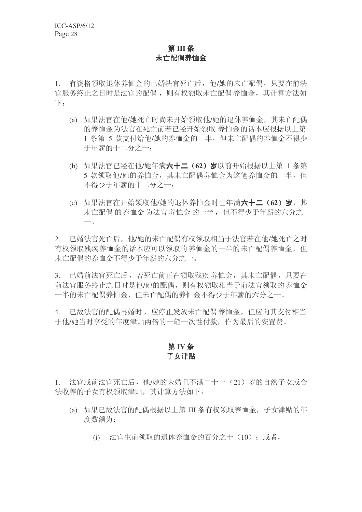## **第Ⅲ条** 未亡配偶养恤金

1. 有资格领取退休养恤金的已婚法官死亡后,他/她的未亡配偶,只要在前法 官服务终止之日时是法官的配偶, 则有权领取未亡配偶养恤金, 其计算方法如  $\top$ :

- (a) 如果法官在他/她死亡时尚未开始领取他/她的退休养恤金, 其未亡配偶 的养恤金为法官在死亡前若已经开始领取 养恤金的话本应根据以上第 1 条第 5 款支付给他/她的养恤金的一半, 但未亡配偶的养恤金不得少 于年薪的十二分之一:
- (b) 如果法官已经在他/她年满六十二 (62) 岁以前开始根据以上第 1 条第 5 款领取他/她的养恤金, 其未亡配偶养恤金为这笔养恤金的一半, 但 不得少于年薪的十二分之一:
- (c) 如果法官在开始领取他/她的退休养恤金时已年满六十二(62) 岁, 其 未亡配偶 的养恤金 为法官 养恤金 的一半, 但不得少于年薪的六分之  $\overline{\phantom{a}}$

2. 已婚法官死亡后,他/她的未亡配偶有权领取相当于法官若在他/她死亡之时 有权领取残疾养恤金的话本应可以领取的养恤金的一半的未亡配偶养恤金,但 未亡配偶的养恤金不得少于年薪的六分之一。

3. 已婚前法官死亡后,若死亡前正在领取残疾养恤金,其未亡配偶,只要在 前法官服务终止之日时是他/她的配偶,则有权领取相当于前法官领取的 养恤金 一半的未亡配偶养恤金, 但未亡配偶的养恤金不得少于年薪的六分之一。

4. 已故法官的配偶再婚时, 应停止发放未亡配偶 养恤金, 但应向其支付相当 于他/她当时享受的年度津贴两倍的一笔一次性付款, 作为最后的安置费。

## 第IV条 子女津贴

1. 法官或前法官死亡后, 他/她的未婚且不满二十一 (21) 岁的自然子女或合 法收养的子女有权领取津贴, 其计算方法如下:

- (a) 如果已故法官的配偶根据以上第 III 条有权领取养恤金, 子女津贴的年 度数额为:
	- (i) 法官生前领取的退休养恤金的百分之十 (10): 或者,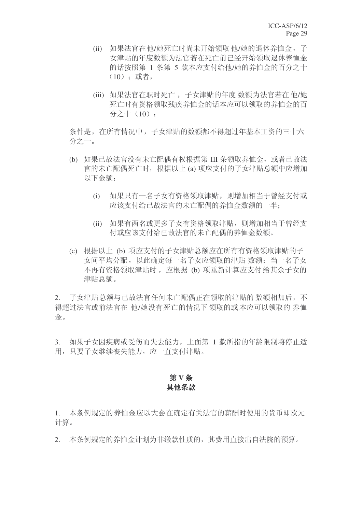- (ii) 如果法官在他/她死亡时尚未开始领取 他/她的退休养恤金, 子 女津贴的年度数额为法官若在死亡前已经开始领取退休养恤金 的话按照第 1 条第 5 款本应支付给他/她的养恤金的百分之十  $(10)$ : 或者,
- (iii) 如果法官在职时死亡, 子女津贴的年度 数额为法官若在 他/她 死亡时有资格领取残疾养恤金的话本应可以领取的养恤金的百 分之十(10):

条件是, 在所有情况中, 子女津贴的数额都不得超过年基本工资的三十六 分之一。

- (b) 如果已故法官没有未亡配偶有权根据第 III 条领取养恤金, 或者已故法 官的未亡配偶死亡时, 根据以上(a) 项应支付的子女津贴总额中应增加 以下金额:
	- (i) 如果只有一名子女有资格领取津贴, 则增加相当于曾经支付或 应该支付给已故法官的未亡配偶的养恤金数额的一半:
	- (ii) 如果有两名或更多子女有资格领取津贴, 则增加相当于曾经支 付或应该支付给已故法官的未亡配偶的养恤金数额。
- (c) 根据以上 (b) 项应支付的子女津贴总额应在所有有资格领取津贴的子 女间平均分配, 以此确定每一名子女应领取的津贴 数额; 当一名子女 不再有资格领取津贴时, 应根据 (b) 项重新计算应支付给其余子女的 津贴总额。

2. 子女津贴总额与已故法官任何未亡配偶正在领取的津贴的数额相加后,不 得超讨法官或前法官在 他/她没有死亡的情况下领取的或本应可以领取的养恤 金。

3. 如果子女因疾病或受伤而失去能力,上面第 1 款所指的年龄限制将停止适 用,只要子女继续丧失能力,应一直支付津贴。

# 第 V 条 其他条款

1. 本条例规定的养恤金应以大会在确定有关法官的薪酬时使用的货币即欧元 计算。

2. 本条例规定的养恤金计划为非缴款性质的,其费用直接出自法院的预算。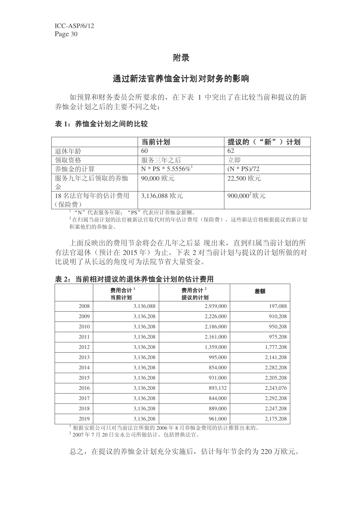# 附录

# 通过新法官养恤金计划对财务的影响

如预算和财务委员会所要求的, 在下表 1 中突出了在比较当前和提议的新 养恤金计划之后的主要不同之处:

## 表 1: 养恤金计划之间的比较

|              | 当前计划                          | 提议的("新"<br>计划  |
|--------------|-------------------------------|----------------|
| 退休年龄         | 60                            | 62             |
| 领取资格         | 服务三年之后                        | 立即             |
| 养恤金的计算       | N * PS * 5.5556% <sup>1</sup> | $(N * PS)/72$  |
| 服务九年之后领取的养恤  | 90,000 欧元                     | 22,500 欧元      |
| 金            |                               |                |
| 18名法官每年的估计费用 | 3,136,088 欧元                  | $900,000^2$ 欧元 |
| (保险费)        |                               |                |

1 "N"代表服务年限; "PS"代表应计养恤金薪酬。

 $2\pi$ 归属当前计划的法官被新法官取代时的年估计费用(保险费),这些新法官将根据提议的新计划 积累他们的养恤金。

上面反映出的费用节余将会在几年之后显 现出来, 直到归属当前计划的所 有法官退休(预计在 2015年)为止。下表 2 对当前计划与提议的计划所做的对 比说明了从长远的角度可为法院节省大量资金。

#### 表 2: 当前相对提议的退休养恤金计划的估计费用

|      | 费用合计 $1$<br>当前计划 | 费用合计 $^2$<br>提议的计划 | 差额        |
|------|------------------|--------------------|-----------|
| 2008 | 3,136,088        | 2,939,000          | 197,088   |
| 2009 | 3,136,208        | 2,226,000          | 910,208   |
| 2010 | 3,136,208        | 2,186,000          | 950,208   |
| 2011 | 3,136,208        | 2,161,000          | 975,208   |
| 2012 | 3,136,208        | 1,359,000          | 1,777,208 |
| 2013 | 3,136,208        | 995,000            | 2,141,208 |
| 2014 | 3,136,208        | 854,000            | 2,282,208 |
| 2015 | 3,136,208        | 931,000            | 2,205,208 |
| 2016 | 3,136,208        | 893,132            | 2,243,076 |
| 2017 | 3,136,208        | 844,000            | 2,292,208 |
| 2018 | 3,136,208        | 889,000            | 2,247,208 |
| 2019 | 3,136,208        | 961,000            | 2,175,208 |

<sup>1</sup> 根据安联公司只对当前法官所做的2006年8月养恤金费用的估计推算出来的。

2 2007年7月20日安永公司所做估计,包括替换法官。

总之, 在提议的养恤金计划充分实施后, 估计每年节余约为 220 万欧元。